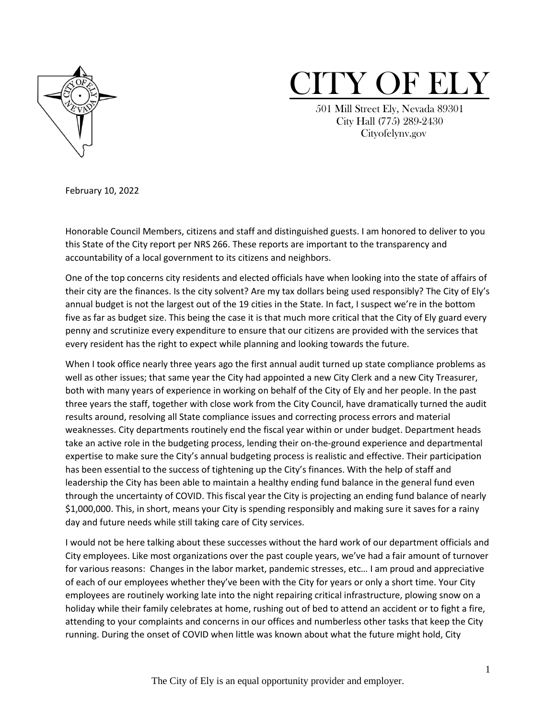



 501 Mill Street Ely, Nevada 89301 City Hall (775) 289-2430 Cityofelynv.gov

February 10, 2022

Honorable Council Members, citizens and staff and distinguished guests. I am honored to deliver to you this State of the City report per NRS 266. These reports are important to the transparency and accountability of a local government to its citizens and neighbors.

One of the top concerns city residents and elected officials have when looking into the state of affairs of their city are the finances. Is the city solvent? Are my tax dollars being used responsibly? The City of Ely's annual budget is not the largest out of the 19 cities in the State. In fact, I suspect we're in the bottom five as far as budget size. This being the case it is that much more critical that the City of Ely guard every penny and scrutinize every expenditure to ensure that our citizens are provided with the services that every resident has the right to expect while planning and looking towards the future.

When I took office nearly three years ago the first annual audit turned up state compliance problems as well as other issues; that same year the City had appointed a new City Clerk and a new City Treasurer, both with many years of experience in working on behalf of the City of Ely and her people. In the past three years the staff, together with close work from the City Council, have dramatically turned the audit results around, resolving all State compliance issues and correcting process errors and material weaknesses. City departments routinely end the fiscal year within or under budget. Department heads take an active role in the budgeting process, lending their on-the-ground experience and departmental expertise to make sure the City's annual budgeting process is realistic and effective. Their participation has been essential to the success of tightening up the City's finances. With the help of staff and leadership the City has been able to maintain a healthy ending fund balance in the general fund even through the uncertainty of COVID. This fiscal year the City is projecting an ending fund balance of nearly \$1,000,000. This, in short, means your City is spending responsibly and making sure it saves for a rainy day and future needs while still taking care of City services.

I would not be here talking about these successes without the hard work of our department officials and City employees. Like most organizations over the past couple years, we've had a fair amount of turnover for various reasons: Changes in the labor market, pandemic stresses, etc… I am proud and appreciative of each of our employees whether they've been with the City for years or only a short time. Your City employees are routinely working late into the night repairing critical infrastructure, plowing snow on a holiday while their family celebrates at home, rushing out of bed to attend an accident or to fight a fire, attending to your complaints and concerns in our offices and numberless other tasks that keep the City running. During the onset of COVID when little was known about what the future might hold, City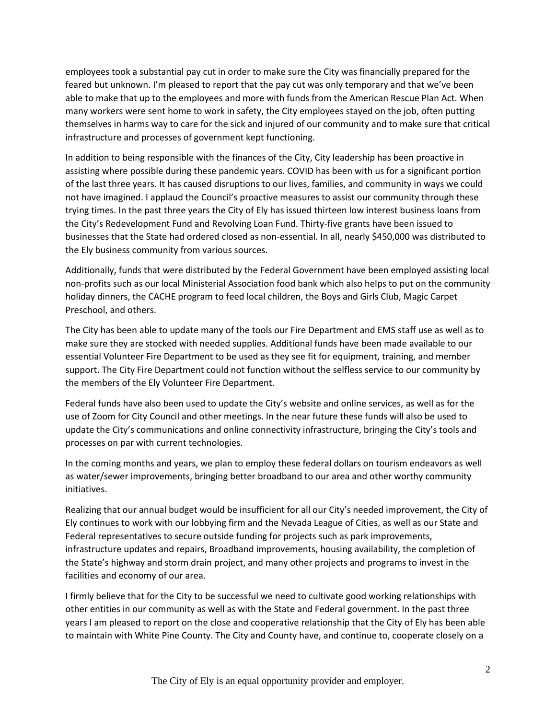employees took a substantial pay cut in order to make sure the City was financially prepared for the feared but unknown. I'm pleased to report that the pay cut was only temporary and that we've been able to make that up to the employees and more with funds from the American Rescue Plan Act. When many workers were sent home to work in safety, the City employees stayed on the job, often putting themselves in harms way to care for the sick and injured of our community and to make sure that critical infrastructure and processes of government kept functioning.

In addition to being responsible with the finances of the City, City leadership has been proactive in assisting where possible during these pandemic years. COVID has been with us for a significant portion of the last three years. It has caused disruptions to our lives, families, and community in ways we could not have imagined. I applaud the Council's proactive measures to assist our community through these trying times. In the past three years the City of Ely has issued thirteen low interest business loans from the City's Redevelopment Fund and Revolving Loan Fund. Thirty-five grants have been issued to businesses that the State had ordered closed as non-essential. In all, nearly \$450,000 was distributed to the Ely business community from various sources.

Additionally, funds that were distributed by the Federal Government have been employed assisting local non-profits such as our local Ministerial Association food bank which also helps to put on the community holiday dinners, the CACHE program to feed local children, the Boys and Girls Club, Magic Carpet Preschool, and others.

The City has been able to update many of the tools our Fire Department and EMS staff use as well as to make sure they are stocked with needed supplies. Additional funds have been made available to our essential Volunteer Fire Department to be used as they see fit for equipment, training, and member support. The City Fire Department could not function without the selfless service to our community by the members of the Ely Volunteer Fire Department.

Federal funds have also been used to update the City's website and online services, as well as for the use of Zoom for City Council and other meetings. In the near future these funds will also be used to update the City's communications and online connectivity infrastructure, bringing the City's tools and processes on par with current technologies.

In the coming months and years, we plan to employ these federal dollars on tourism endeavors as well as water/sewer improvements, bringing better broadband to our area and other worthy community initiatives.

Realizing that our annual budget would be insufficient for all our City's needed improvement, the City of Ely continues to work with our lobbying firm and the Nevada League of Cities, as well as our State and Federal representatives to secure outside funding for projects such as park improvements, infrastructure updates and repairs, Broadband improvements, housing availability, the completion of the State's highway and storm drain project, and many other projects and programs to invest in the facilities and economy of our area.

I firmly believe that for the City to be successful we need to cultivate good working relationships with other entities in our community as well as with the State and Federal government. In the past three years I am pleased to report on the close and cooperative relationship that the City of Ely has been able to maintain with White Pine County. The City and County have, and continue to, cooperate closely on a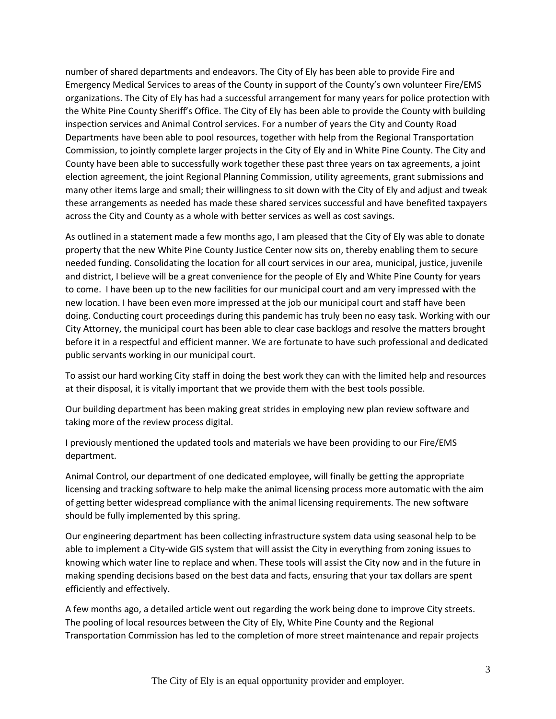number of shared departments and endeavors. The City of Ely has been able to provide Fire and Emergency Medical Services to areas of the County in support of the County's own volunteer Fire/EMS organizations. The City of Ely has had a successful arrangement for many years for police protection with the White Pine County Sheriff's Office. The City of Ely has been able to provide the County with building inspection services and Animal Control services. For a number of years the City and County Road Departments have been able to pool resources, together with help from the Regional Transportation Commission, to jointly complete larger projects in the City of Ely and in White Pine County. The City and County have been able to successfully work together these past three years on tax agreements, a joint election agreement, the joint Regional Planning Commission, utility agreements, grant submissions and many other items large and small; their willingness to sit down with the City of Ely and adjust and tweak these arrangements as needed has made these shared services successful and have benefited taxpayers across the City and County as a whole with better services as well as cost savings.

As outlined in a statement made a few months ago, I am pleased that the City of Ely was able to donate property that the new White Pine County Justice Center now sits on, thereby enabling them to secure needed funding. Consolidating the location for all court services in our area, municipal, justice, juvenile and district, I believe will be a great convenience for the people of Ely and White Pine County for years to come. I have been up to the new facilities for our municipal court and am very impressed with the new location. I have been even more impressed at the job our municipal court and staff have been doing. Conducting court proceedings during this pandemic has truly been no easy task. Working with our City Attorney, the municipal court has been able to clear case backlogs and resolve the matters brought before it in a respectful and efficient manner. We are fortunate to have such professional and dedicated public servants working in our municipal court.

To assist our hard working City staff in doing the best work they can with the limited help and resources at their disposal, it is vitally important that we provide them with the best tools possible.

Our building department has been making great strides in employing new plan review software and taking more of the review process digital.

I previously mentioned the updated tools and materials we have been providing to our Fire/EMS department.

Animal Control, our department of one dedicated employee, will finally be getting the appropriate licensing and tracking software to help make the animal licensing process more automatic with the aim of getting better widespread compliance with the animal licensing requirements. The new software should be fully implemented by this spring.

Our engineering department has been collecting infrastructure system data using seasonal help to be able to implement a City-wide GIS system that will assist the City in everything from zoning issues to knowing which water line to replace and when. These tools will assist the City now and in the future in making spending decisions based on the best data and facts, ensuring that your tax dollars are spent efficiently and effectively.

A few months ago, a detailed article went out regarding the work being done to improve City streets. The pooling of local resources between the City of Ely, White Pine County and the Regional Transportation Commission has led to the completion of more street maintenance and repair projects